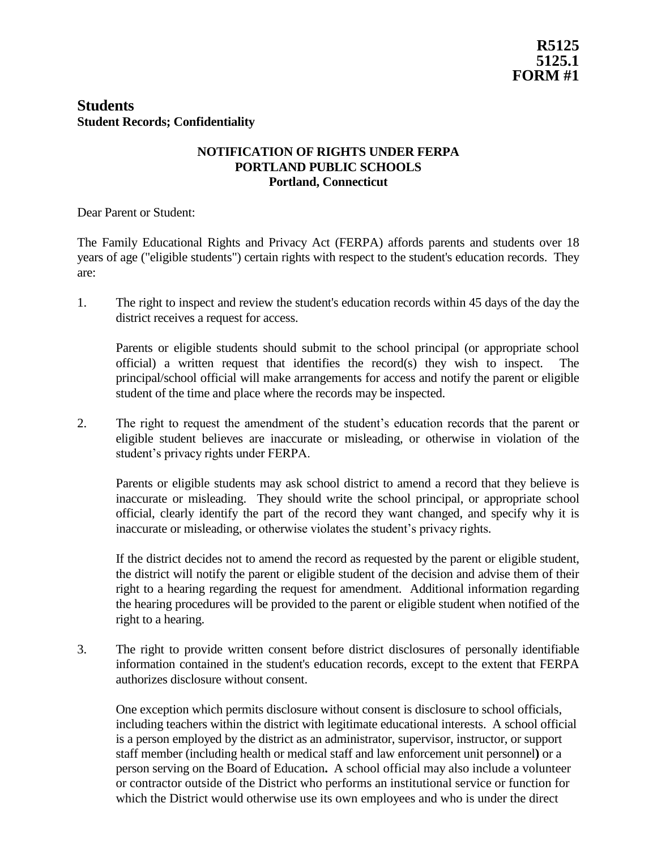## **Students Student Records; Confidentiality**

## **NOTIFICATION OF RIGHTS UNDER FERPA PORTLAND PUBLIC SCHOOLS Portland, Connecticut**

Dear Parent or Student:

The Family Educational Rights and Privacy Act (FERPA) affords parents and students over 18 years of age ("eligible students") certain rights with respect to the student's education records. They are:

1. The right to inspect and review the student's education records within 45 days of the day the district receives a request for access.

Parents or eligible students should submit to the school principal (or appropriate school official) a written request that identifies the record(s) they wish to inspect. The principal/school official will make arrangements for access and notify the parent or eligible student of the time and place where the records may be inspected.

2. The right to request the amendment of the student's education records that the parent or eligible student believes are inaccurate or misleading, or otherwise in violation of the student's privacy rights under FERPA.

Parents or eligible students may ask school district to amend a record that they believe is inaccurate or misleading. They should write the school principal, or appropriate school official, clearly identify the part of the record they want changed, and specify why it is inaccurate or misleading, or otherwise violates the student's privacy rights.

If the district decides not to amend the record as requested by the parent or eligible student, the district will notify the parent or eligible student of the decision and advise them of their right to a hearing regarding the request for amendment. Additional information regarding the hearing procedures will be provided to the parent or eligible student when notified of the right to a hearing.

3. The right to provide written consent before district disclosures of personally identifiable information contained in the student's education records, except to the extent that FERPA authorizes disclosure without consent.

One exception which permits disclosure without consent is disclosure to school officials, including teachers within the district with legitimate educational interests. A school official is a person employed by the district as an administrator, supervisor, instructor, or support staff member (including health or medical staff and law enforcement unit personnel**)** or a person serving on the Board of Education**.** A school official may also include a volunteer or contractor outside of the District who performs an institutional service or function for which the District would otherwise use its own employees and who is under the direct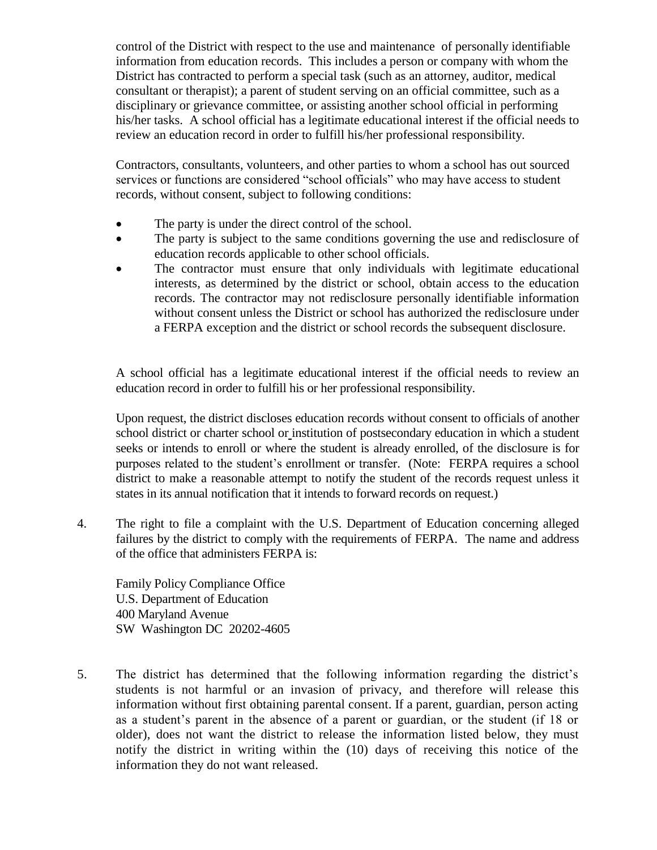control of the District with respect to the use and maintenance of personally identifiable information from education records. This includes a person or company with whom the District has contracted to perform a special task (such as an attorney, auditor, medical consultant or therapist); a parent of student serving on an official committee, such as a disciplinary or grievance committee, or assisting another school official in performing his/her tasks. A school official has a legitimate educational interest if the official needs to review an education record in order to fulfill his/her professional responsibility.

Contractors, consultants, volunteers, and other parties to whom a school has out sourced services or functions are considered "school officials" who may have access to student records, without consent, subject to following conditions:

- The party is under the direct control of the school.
- The party is subject to the same conditions governing the use and redisclosure of education records applicable to other school officials.
- The contractor must ensure that only individuals with legitimate educational interests, as determined by the district or school, obtain access to the education records. The contractor may not redisclosure personally identifiable information without consent unless the District or school has authorized the redisclosure under a FERPA exception and the district or school records the subsequent disclosure.

A school official has a legitimate educational interest if the official needs to review an education record in order to fulfill his or her professional responsibility.

Upon request, the district discloses education records without consent to officials of another school district or charter school or institution of postsecondary education in which a student seeks or intends to enroll or where the student is already enrolled, of the disclosure is for purposes related to the student's enrollment or transfer. (Note: FERPA requires a school district to make a reasonable attempt to notify the student of the records request unless it states in its annual notification that it intends to forward records on request.)

4. The right to file a complaint with the U.S. Department of Education concerning alleged failures by the district to comply with the requirements of FERPA. The name and address of the office that administers FERPA is:

Family Policy Compliance Office U.S. Department of Education 400 Maryland Avenue SW Washington DC 20202-4605

5. The district has determined that the following information regarding the district's students is not harmful or an invasion of privacy, and therefore will release this information without first obtaining parental consent. If a parent, guardian, person acting as a student's parent in the absence of a parent or guardian, or the student (if 18 or older), does not want the district to release the information listed below, they must notify the district in writing within the (10) days of receiving this notice of the information they do not want released.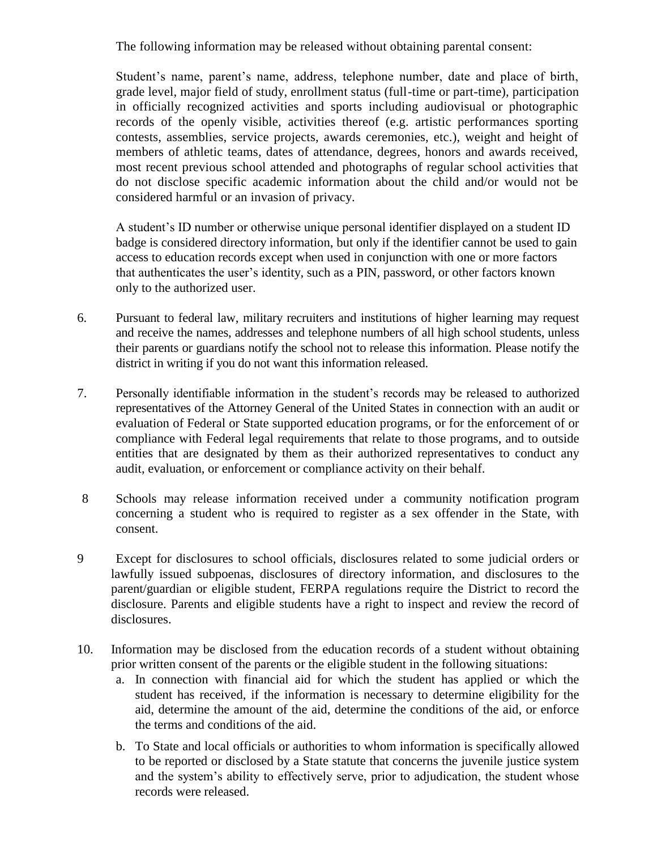The following information may be released without obtaining parental consent:

Student's name, parent's name, address, telephone number, date and place of birth, grade level, major field of study, enrollment status (full-time or part-time), participation in officially recognized activities and sports including audiovisual or photographic records of the openly visible, activities thereof (e.g. artistic performances sporting contests, assemblies, service projects, awards ceremonies, etc.), weight and height of members of athletic teams, dates of attendance, degrees, honors and awards received, most recent previous school attended and photographs of regular school activities that do not disclose specific academic information about the child and/or would not be considered harmful or an invasion of privacy.

A student's ID number or otherwise unique personal identifier displayed on a student ID badge is considered directory information, but only if the identifier cannot be used to gain access to education records except when used in conjunction with one or more factors that authenticates the user's identity, such as a PIN, password, or other factors known only to the authorized user.

- 6. Pursuant to federal law, military recruiters and institutions of higher learning may request and receive the names, addresses and telephone numbers of all high school students, unless their parents or guardians notify the school not to release this information. Please notify the district in writing if you do not want this information released.
- 7. Personally identifiable information in the student's records may be released to authorized representatives of the Attorney General of the United States in connection with an audit or evaluation of Federal or State supported education programs, or for the enforcement of or compliance with Federal legal requirements that relate to those programs, and to outside entities that are designated by them as their authorized representatives to conduct any audit, evaluation, or enforcement or compliance activity on their behalf.
- 8 Schools may release information received under a community notification program concerning a student who is required to register as a sex offender in the State, with consent.
- 9 Except for disclosures to school officials, disclosures related to some judicial orders or lawfully issued subpoenas, disclosures of directory information, and disclosures to the parent/guardian or eligible student, FERPA regulations require the District to record the disclosure. Parents and eligible students have a right to inspect and review the record of disclosures.
- 10. Information may be disclosed from the education records of a student without obtaining prior written consent of the parents or the eligible student in the following situations:
	- a. In connection with financial aid for which the student has applied or which the student has received, if the information is necessary to determine eligibility for the aid, determine the amount of the aid, determine the conditions of the aid, or enforce the terms and conditions of the aid.
	- b. To State and local officials or authorities to whom information is specifically allowed to be reported or disclosed by a State statute that concerns the juvenile justice system and the system's ability to effectively serve, prior to adjudication, the student whose records were released.